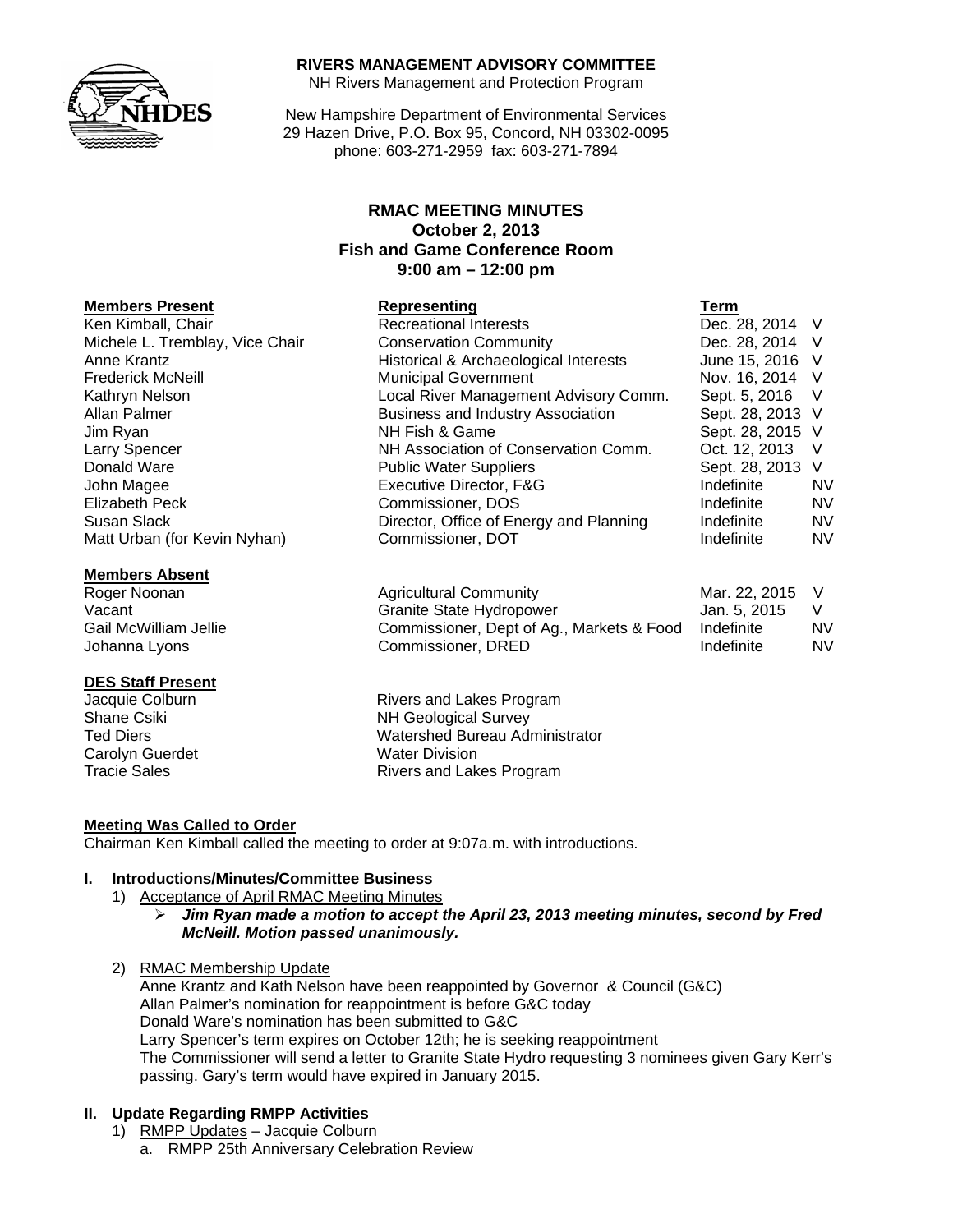

#### **RIVERS MANAGEMENT ADVISORY COMMITTEE**

NH Rivers Management and Protection Program

New Hampshire Department of Environmental Services 29 Hazen Drive, P.O. Box 95, Concord, NH 03302-0095 phone: 603-271-2959 fax: 603-271-7894

### **RMAC MEETING MINUTES October 2, 2013 Fish and Game Conference Room 9:00 am – 12:00 pm**

#### **Members Present Representing Term**

Ken Kimball, Chair **Recreational Interests** Chair Dec. 28, 2014 V Michele L. Tremblay, Vice Chair Conservation Community Conservation Community Dec. 28, 2014 V Anne Krantz **Historical & Archaeological Interests** June 15, 2016 V Frederick McNeill **Municipal Government** Nov. 16, 2014 V Kathryn Nelson **Local River Management Advisory Comm.** Sept. 5, 2016 V<br>Allan Palmer **Allan Palmer Community Association** Sept. 28, 2013 V Jim Ryan NH Fish & Game Sept. 28, 2015 V Larry Spencer **NH Association of Conservation Comm.** Oct. 12, 2013 V Donald Ware **Network Public Water Suppliers** Sept. 28, 2013 V John Magee Executive Director, F&G Indefinite NV Elizabeth Peck Commissioner, DOS Indefinite NV Susan Slack **Director, Office of Energy and Planning** Indefinite NV Matt Urban (for Kevin Nyhan) Commissioner, DOT Next Commissioner, DOT Next Commissioner NV

#### **Members Absent**

#### **DES Staff Present**

Carolyn Guerdet Water Division

Roger Noonan Agricultural Community Mar. 22, 2015 V Vacant Vacant Cranite State Hydropower Cranite State Hydropower<br>Gail McWilliam Jellie Commissioner, Dept of Ag., Markets & Food Indefinite N Commissioner, Dept of Ag., Markets & Food Indefinite NV Johanna Lyons **Commissioner, DRED** Indefinite MV

Business and Industry Association Sept. 28, 2013 V

Jacquie Colburn **Rivers** and Lakes Program Shane Csiki NH Geological Survey Ted Diers Watershed Bureau Administrator Tracie Sales **Rivers** and Lakes Program

#### **Meeting Was Called to Order**

Chairman Ken Kimball called the meeting to order at 9:07a.m. with introductions.

#### **I. Introductions/Minutes/Committee Business**

- 1) Acceptance of April RMAC Meeting Minutes
	- ¾ *Jim Ryan made a motion to accept the April 23, 2013 meeting minutes, second by Fred McNeill. Motion passed unanimously.*
- 2) RMAC Membership Update

Anne Krantz and Kath Nelson have been reappointed by Governor & Council (G&C) Allan Palmer's nomination for reappointment is before G&C today Donald Ware's nomination has been submitted to G&C Larry Spencer's term expires on October 12th; he is seeking reappointment The Commissioner will send a letter to Granite State Hydro requesting 3 nominees given Gary Kerr's passing. Gary's term would have expired in January 2015.

#### **II. Update Regarding RMPP Activities**

- 1) RMPP Updates Jacquie Colburn
	- a. RMPP 25th Anniversary Celebration Review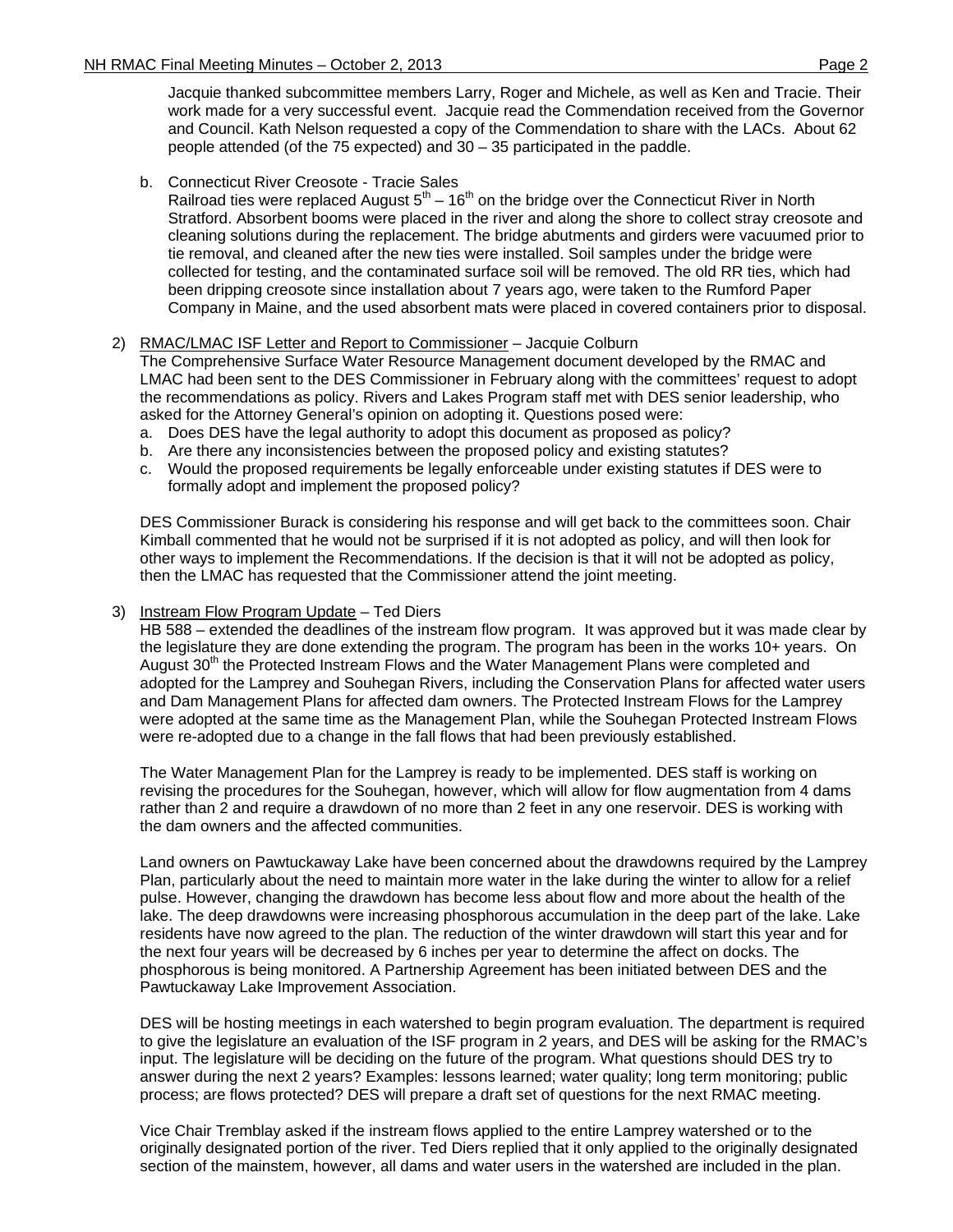Jacquie thanked subcommittee members Larry, Roger and Michele, as well as Ken and Tracie. Their work made for a very successful event. Jacquie read the Commendation received from the Governor and Council. Kath Nelson requested a copy of the Commendation to share with the LACs. About 62 people attended (of the 75 expected) and 30 – 35 participated in the paddle.

### b. Connecticut River Creosote - Tracie Sales

Railroad ties were replaced August  $5<sup>th</sup> - 16<sup>th</sup>$  on the bridge over the Connecticut River in North Stratford. Absorbent booms were placed in the river and along the shore to collect stray creosote and cleaning solutions during the replacement. The bridge abutments and girders were vacuumed prior to tie removal, and cleaned after the new ties were installed. Soil samples under the bridge were collected for testing, and the contaminated surface soil will be removed. The old RR ties, which had been dripping creosote since installation about 7 years ago, were taken to the Rumford Paper Company in Maine, and the used absorbent mats were placed in covered containers prior to disposal.

#### 2) RMAC/LMAC ISF Letter and Report to Commissioner – Jacquie Colburn

The Comprehensive Surface Water Resource Management document developed by the RMAC and LMAC had been sent to the DES Commissioner in February along with the committees' request to adopt the recommendations as policy. Rivers and Lakes Program staff met with DES senior leadership, who asked for the Attorney General's opinion on adopting it. Questions posed were:

- a. Does DES have the legal authority to adopt this document as proposed as policy?
- b. Are there any inconsistencies between the proposed policy and existing statutes?
- c. Would the proposed requirements be legally enforceable under existing statutes if DES were to formally adopt and implement the proposed policy?

DES Commissioner Burack is considering his response and will get back to the committees soon. Chair Kimball commented that he would not be surprised if it is not adopted as policy, and will then look for other ways to implement the Recommendations. If the decision is that it will not be adopted as policy, then the LMAC has requested that the Commissioner attend the joint meeting.

#### 3) Instream Flow Program Update – Ted Diers

HB 588 – extended the deadlines of the instream flow program. It was approved but it was made clear by the legislature they are done extending the program. The program has been in the works 10+ years. On August 30<sup>th</sup> the Protected Instream Flows and the Water Management Plans were completed and adopted for the Lamprey and Souhegan Rivers, including the Conservation Plans for affected water users and Dam Management Plans for affected dam owners. The Protected Instream Flows for the Lamprey were adopted at the same time as the Management Plan, while the Souhegan Protected Instream Flows were re-adopted due to a change in the fall flows that had been previously established.

The Water Management Plan for the Lamprey is ready to be implemented. DES staff is working on revising the procedures for the Souhegan, however, which will allow for flow augmentation from 4 dams rather than 2 and require a drawdown of no more than 2 feet in any one reservoir. DES is working with the dam owners and the affected communities.

Land owners on Pawtuckaway Lake have been concerned about the drawdowns required by the Lamprey Plan, particularly about the need to maintain more water in the lake during the winter to allow for a relief pulse. However, changing the drawdown has become less about flow and more about the health of the lake. The deep drawdowns were increasing phosphorous accumulation in the deep part of the lake. Lake residents have now agreed to the plan. The reduction of the winter drawdown will start this year and for the next four years will be decreased by 6 inches per year to determine the affect on docks. The phosphorous is being monitored. A Partnership Agreement has been initiated between DES and the Pawtuckaway Lake Improvement Association.

DES will be hosting meetings in each watershed to begin program evaluation. The department is required to give the legislature an evaluation of the ISF program in 2 years, and DES will be asking for the RMAC's input. The legislature will be deciding on the future of the program. What questions should DES try to answer during the next 2 years? Examples: lessons learned; water quality; long term monitoring; public process; are flows protected? DES will prepare a draft set of questions for the next RMAC meeting.

Vice Chair Tremblay asked if the instream flows applied to the entire Lamprey watershed or to the originally designated portion of the river. Ted Diers replied that it only applied to the originally designated section of the mainstem, however, all dams and water users in the watershed are included in the plan.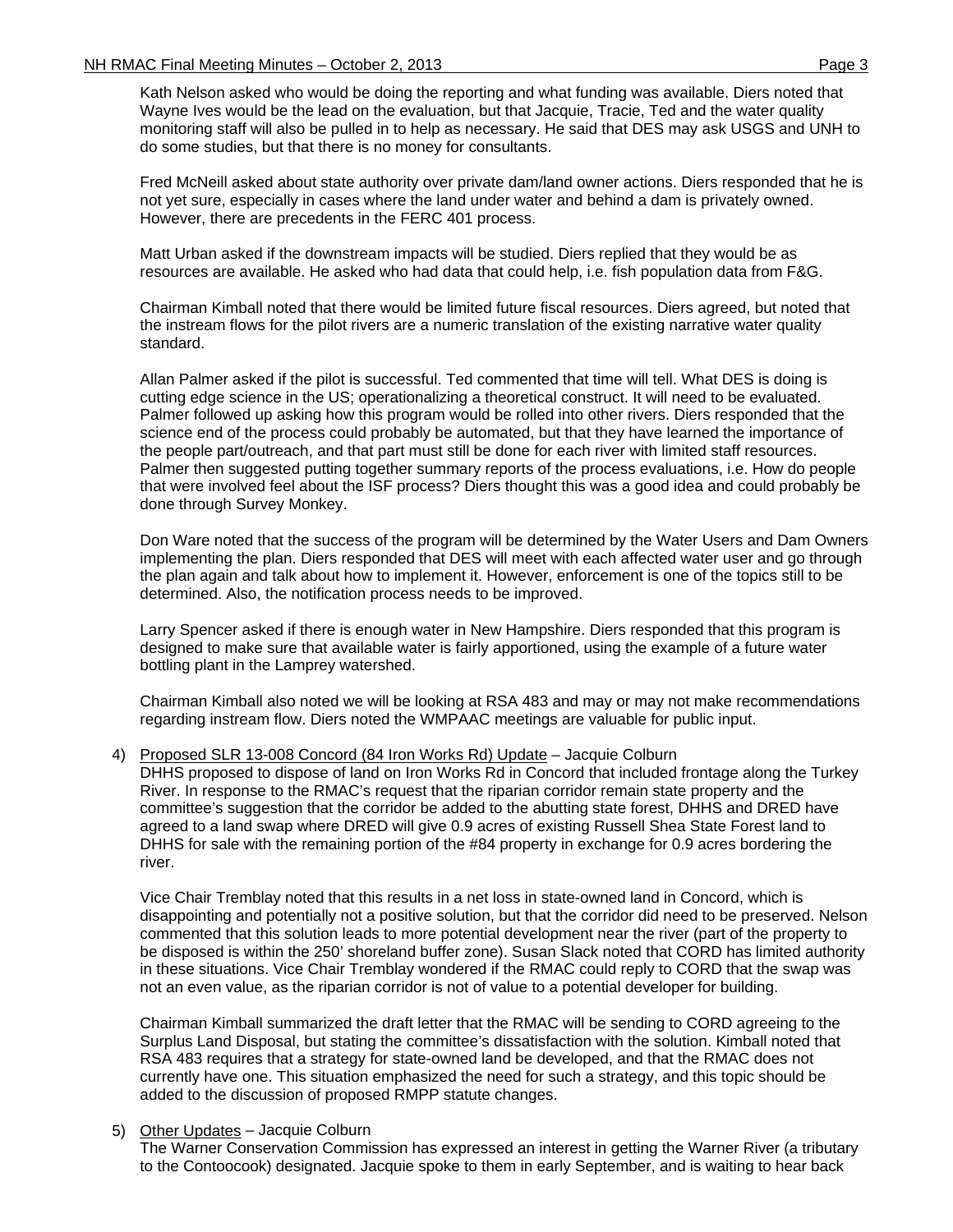Kath Nelson asked who would be doing the reporting and what funding was available. Diers noted that Wayne Ives would be the lead on the evaluation, but that Jacquie, Tracie, Ted and the water quality monitoring staff will also be pulled in to help as necessary. He said that DES may ask USGS and UNH to do some studies, but that there is no money for consultants.

Fred McNeill asked about state authority over private dam/land owner actions. Diers responded that he is not yet sure, especially in cases where the land under water and behind a dam is privately owned. However, there are precedents in the FERC 401 process.

Matt Urban asked if the downstream impacts will be studied. Diers replied that they would be as resources are available. He asked who had data that could help, i.e. fish population data from F&G.

Chairman Kimball noted that there would be limited future fiscal resources. Diers agreed, but noted that the instream flows for the pilot rivers are a numeric translation of the existing narrative water quality standard.

Allan Palmer asked if the pilot is successful. Ted commented that time will tell. What DES is doing is cutting edge science in the US; operationalizing a theoretical construct. It will need to be evaluated. Palmer followed up asking how this program would be rolled into other rivers. Diers responded that the science end of the process could probably be automated, but that they have learned the importance of the people part/outreach, and that part must still be done for each river with limited staff resources. Palmer then suggested putting together summary reports of the process evaluations, i.e. How do people that were involved feel about the ISF process? Diers thought this was a good idea and could probably be done through Survey Monkey.

Don Ware noted that the success of the program will be determined by the Water Users and Dam Owners implementing the plan. Diers responded that DES will meet with each affected water user and go through the plan again and talk about how to implement it. However, enforcement is one of the topics still to be determined. Also, the notification process needs to be improved.

Larry Spencer asked if there is enough water in New Hampshire. Diers responded that this program is designed to make sure that available water is fairly apportioned, using the example of a future water bottling plant in the Lamprey watershed.

Chairman Kimball also noted we will be looking at RSA 483 and may or may not make recommendations regarding instream flow. Diers noted the WMPAAC meetings are valuable for public input.

4) Proposed SLR 13-008 Concord (84 Iron Works Rd) Update – Jacquie Colburn

DHHS proposed to dispose of land on Iron Works Rd in Concord that included frontage along the Turkey River. In response to the RMAC's request that the riparian corridor remain state property and the committee's suggestion that the corridor be added to the abutting state forest, DHHS and DRED have agreed to a land swap where DRED will give 0.9 acres of existing Russell Shea State Forest land to DHHS for sale with the remaining portion of the #84 property in exchange for 0.9 acres bordering the river.

Vice Chair Tremblay noted that this results in a net loss in state-owned land in Concord, which is disappointing and potentially not a positive solution, but that the corridor did need to be preserved. Nelson commented that this solution leads to more potential development near the river (part of the property to be disposed is within the 250' shoreland buffer zone). Susan Slack noted that CORD has limited authority in these situations. Vice Chair Tremblay wondered if the RMAC could reply to CORD that the swap was not an even value, as the riparian corridor is not of value to a potential developer for building.

Chairman Kimball summarized the draft letter that the RMAC will be sending to CORD agreeing to the Surplus Land Disposal, but stating the committee's dissatisfaction with the solution. Kimball noted that RSA 483 requires that a strategy for state-owned land be developed, and that the RMAC does not currently have one. This situation emphasized the need for such a strategy, and this topic should be added to the discussion of proposed RMPP statute changes.

#### 5) Other Updates – Jacquie Colburn

The Warner Conservation Commission has expressed an interest in getting the Warner River (a tributary to the Contoocook) designated. Jacquie spoke to them in early September, and is waiting to hear back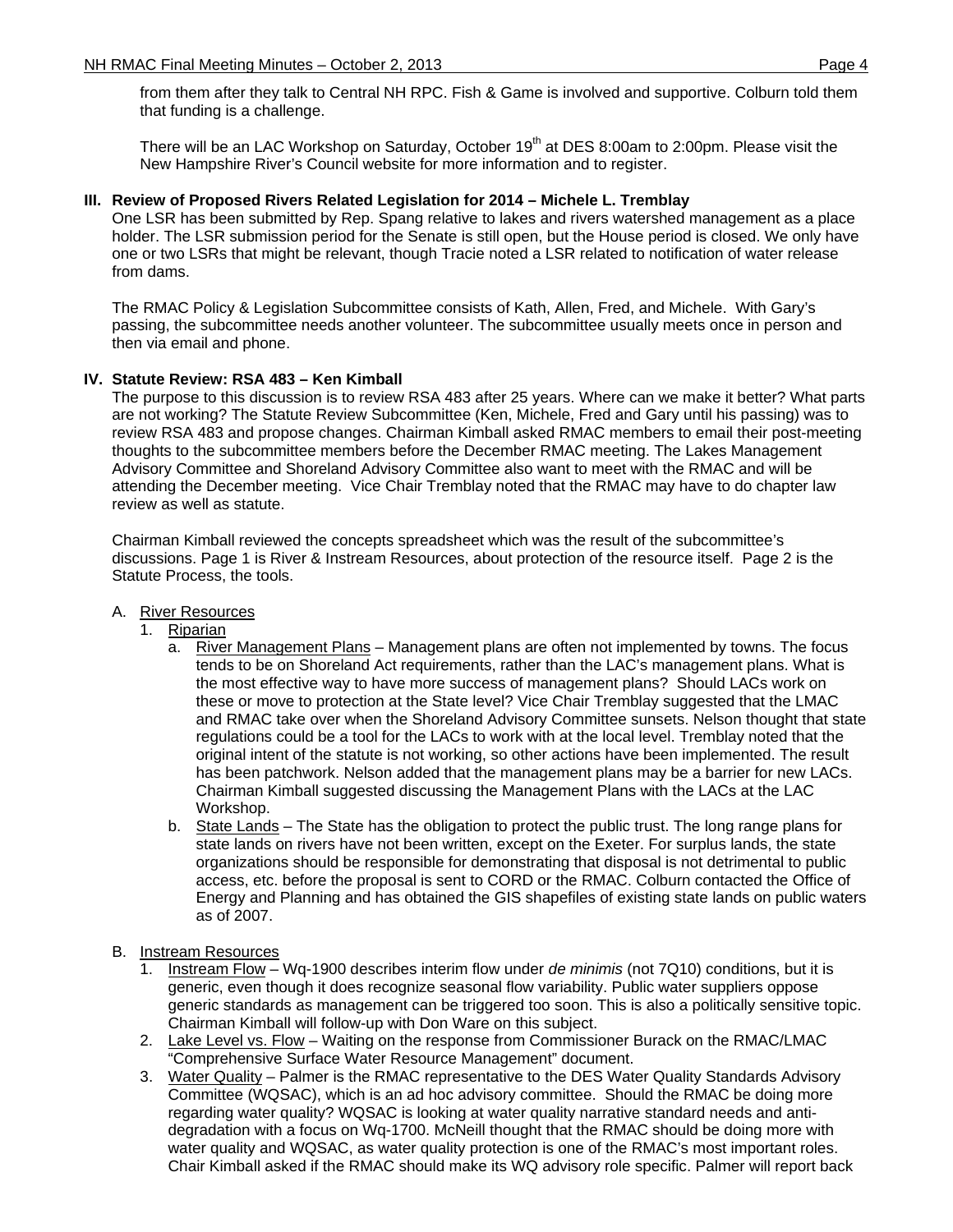from them after they talk to Central NH RPC. Fish & Game is involved and supportive. Colburn told them that funding is a challenge.

There will be an LAC Workshop on Saturday, October 19<sup>th</sup> at DES 8:00am to 2:00pm. Please visit the New Hampshire River's Council website for more information and to register.

### **III. Review of Proposed Rivers Related Legislation for 2014 – Michele L. Tremblay**

One LSR has been submitted by Rep. Spang relative to lakes and rivers watershed management as a place holder. The LSR submission period for the Senate is still open, but the House period is closed. We only have one or two LSRs that might be relevant, though Tracie noted a LSR related to notification of water release from dams.

The RMAC Policy & Legislation Subcommittee consists of Kath, Allen, Fred, and Michele. With Gary's passing, the subcommittee needs another volunteer. The subcommittee usually meets once in person and then via email and phone.

#### **IV. Statute Review: RSA 483 – Ken Kimball**

The purpose to this discussion is to review RSA 483 after 25 years. Where can we make it better? What parts are not working? The Statute Review Subcommittee (Ken, Michele, Fred and Gary until his passing) was to review RSA 483 and propose changes. Chairman Kimball asked RMAC members to email their post-meeting thoughts to the subcommittee members before the December RMAC meeting. The Lakes Management Advisory Committee and Shoreland Advisory Committee also want to meet with the RMAC and will be attending the December meeting. Vice Chair Tremblay noted that the RMAC may have to do chapter law review as well as statute.

Chairman Kimball reviewed the concepts spreadsheet which was the result of the subcommittee's discussions. Page 1 is River & Instream Resources, about protection of the resource itself. Page 2 is the Statute Process, the tools.

- A. River Resources
	- 1. Riparian
		- a. River Management Plans Management plans are often not implemented by towns. The focus tends to be on Shoreland Act requirements, rather than the LAC's management plans. What is the most effective way to have more success of management plans? Should LACs work on these or move to protection at the State level? Vice Chair Tremblay suggested that the LMAC and RMAC take over when the Shoreland Advisory Committee sunsets. Nelson thought that state regulations could be a tool for the LACs to work with at the local level. Tremblay noted that the original intent of the statute is not working, so other actions have been implemented. The result has been patchwork. Nelson added that the management plans may be a barrier for new LACs. Chairman Kimball suggested discussing the Management Plans with the LACs at the LAC Workshop.
		- b. State Lands The State has the obligation to protect the public trust. The long range plans for state lands on rivers have not been written, except on the Exeter. For surplus lands, the state organizations should be responsible for demonstrating that disposal is not detrimental to public access, etc. before the proposal is sent to CORD or the RMAC. Colburn contacted the Office of Energy and Planning and has obtained the GIS shapefiles of existing state lands on public waters as of 2007.
- B. Instream Resources
	- 1. Instream Flow Wq-1900 describes interim flow under *de minimis* (not 7Q10) conditions, but it is generic, even though it does recognize seasonal flow variability. Public water suppliers oppose generic standards as management can be triggered too soon. This is also a politically sensitive topic. Chairman Kimball will follow-up with Don Ware on this subject.
	- 2. Lake Level vs. Flow Waiting on the response from Commissioner Burack on the RMAC/LMAC "Comprehensive Surface Water Resource Management" document.
	- 3. Water Quality Palmer is the RMAC representative to the DES Water Quality Standards Advisory Committee (WQSAC), which is an ad hoc advisory committee. Should the RMAC be doing more regarding water quality? WQSAC is looking at water quality narrative standard needs and antidegradation with a focus on Wq-1700. McNeill thought that the RMAC should be doing more with water quality and WQSAC, as water quality protection is one of the RMAC's most important roles. Chair Kimball asked if the RMAC should make its WQ advisory role specific. Palmer will report back